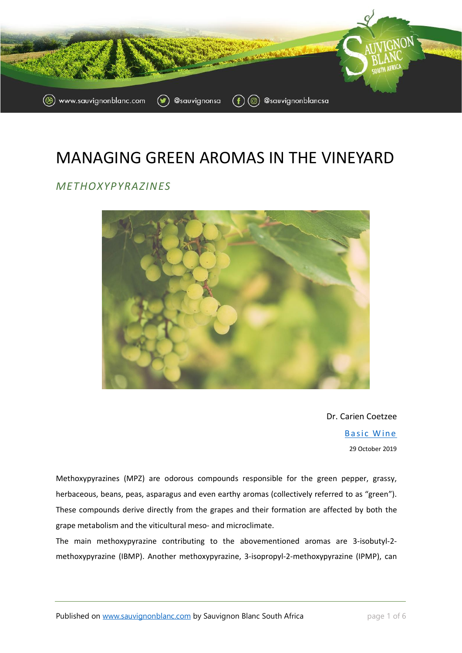

# MANAGING GREEN AROMAS IN THE VINEYARD

#### *METHOXYPYRAZINES*



Dr. Carien Coetzee

**Basic Wine** 29 October 2019

Methoxypyrazines (MPZ) are odorous compounds responsible for the green pepper, grassy, herbaceous, beans, peas, asparagus and even earthy aromas (collectively referred to as "green"). These compounds derive directly from the grapes and their formation are affected by both the grape metabolism and the viticultural meso- and microclimate.

The main methoxypyrazine contributing to the abovementioned aromas are 3-isobutyl-2 methoxypyrazine (IBMP). Another methoxypyrazine, 3-isopropyl-2-methoxypyrazine (IPMP), can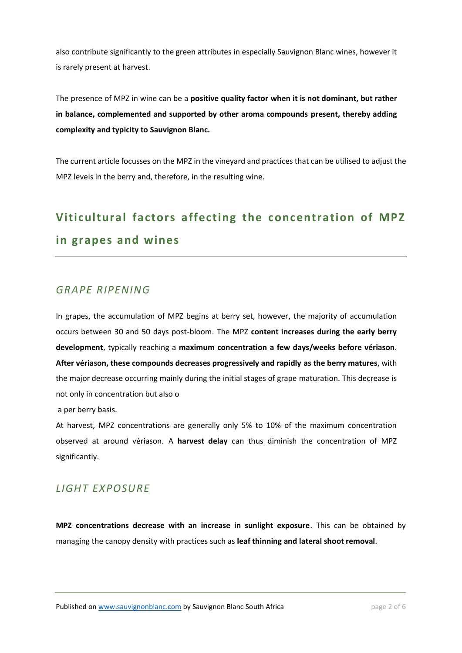also contribute significantly to the green attributes in especially Sauvignon Blanc wines, however it is rarely present at harvest.

The presence of MPZ in wine can be a **positive quality factor when it is not dominant, but rather in balance, complemented and supported by other aroma compounds present, thereby adding complexity and typicity to Sauvignon Blanc.** 

The current article focusses on the MPZ in the vineyard and practices that can be utilised to adjust the MPZ levels in the berry and, therefore, in the resulting wine.

# **Viticultural factors affecting the concentration of MPZ in grapes and wines**

### *GRAPE RIPENING*

In grapes, the accumulation of MPZ begins at berry set, however, the majority of accumulation occurs between 30 and 50 days post-bloom. The MPZ **content increases during the early berry development**, typically reaching a **maximum concentration a few days/weeks before vériason**. **After vériason, these compounds decreases progressively and rapidly as the berry matures**, with the major decrease occurring mainly during the initial stages of grape maturation. This decrease is not only in concentration but also o

a per berry basis.

At harvest, MPZ concentrations are generally only 5% to 10% of the maximum concentration observed at around vériason. A **harvest delay** can thus diminish the concentration of MPZ significantly.

## *LIGHT EXPOSURE*

**MPZ concentrations decrease with an increase in sunlight exposure**. This can be obtained by managing the canopy density with practices such as **leaf thinning and lateral shoot removal**.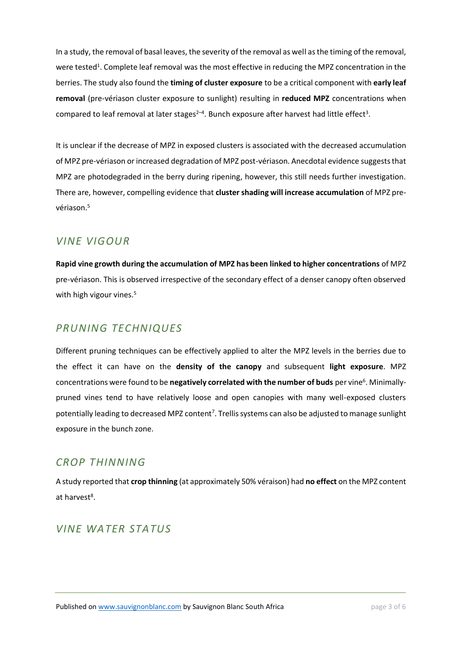In a study, the removal of basal leaves, the severity of the removal as well as the timing of the removal, were tested<sup>1</sup>. Complete leaf removal was the most effective in reducing the MPZ concentration in the berries. The study also found the **timing of cluster exposure** to be a critical component with **early leaf removal** (pre-vériason cluster exposure to sunlight) resulting in **reduced MPZ** concentrations when compared to leaf removal at later stages<sup>2-4</sup>. Bunch exposure after harvest had little effect<sup>3</sup>.

It is unclear if the decrease of MPZ in exposed clusters is associated with the decreased accumulation of MPZ pre-vériason or increased degradation of MPZ post-vériason. Anecdotal evidence suggests that MPZ are photodegraded in the berry during ripening, however, this still needs further investigation. There are, however, compelling evidence that **cluster shading will increase accumulation** of MPZ prevériason. 5

#### *VINE VIGOUR*

**Rapid vine growth during the accumulation of MPZ has been linked to higher concentrations** of MPZ pre-vériason. This is observed irrespective of the secondary effect of a denser canopy often observed with high vigour vines.<sup>5</sup>

## *PRUNING TECHNIQUES*

Different pruning techniques can be effectively applied to alter the MPZ levels in the berries due to the effect it can have on the **density of the canopy** and subsequent **light exposure**. MPZ concentrations were found to be negatively correlated with the number of buds per vine<sup>6</sup>. Minimallypruned vines tend to have relatively loose and open canopies with many well-exposed clusters potentially leading to decreased MPZ content<sup>7</sup>. Trellis systems can also be adjusted to manage sunlight exposure in the bunch zone.

#### *CROP THINNING*

A study reported that **crop thinning** (at approximately 50% véraison) had **no effect** on the MPZ content at harvest<sup>8</sup>.

## *VINE WATER STATUS*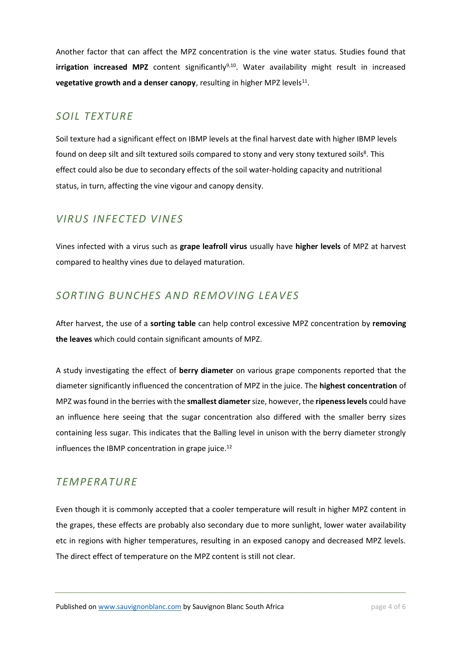Another factor that can affect the MPZ concentration is the vine water status. Studies found that **irrigation increased MPZ** content significantly<sup>9,10</sup>. Water availability might result in increased **vegetative growth and a denser canopy**, resulting in higher MPZ levels<sup>11</sup>.

#### *SOIL TEXTURE*

Soil texture had a significant effect on IBMP levels at the final harvest date with higher IBMP levels found on deep silt and silt textured soils compared to stony and very stony textured soils<sup>8</sup>. This effect could also be due to secondary effects of the soil water-holding capacity and nutritional status, in turn, affecting the vine vigour and canopy density.

## *VIRUS INFECTED VINES*

Vines infected with a virus such as **grape leafroll virus** usually have **higher levels** of MPZ at harvest compared to healthy vines due to delayed maturation.

## *SORTING BUNCHES AND REMOVING LEAVES*

After harvest, the use of a **sorting table** can help control excessive MPZ concentration by **removing the leaves** which could contain significant amounts of MPZ.

A study investigating the effect of **berry diameter** on various grape components reported that the diameter significantly influenced the concentration of MPZ in the juice. The **highest concentration** of MPZ wasfound in the berries with the **smallest diameter**size, however, the **ripeness levels** could have an influence here seeing that the sugar concentration also differed with the smaller berry sizes containing less sugar. This indicates that the Balling level in unison with the berry diameter strongly influences the IBMP concentration in grape juice. $12$ 

#### *TEMPERATURE*

Even though it is commonly accepted that a cooler temperature will result in higher MPZ content in the grapes, these effects are probably also secondary due to more sunlight, lower water availability etc in regions with higher temperatures, resulting in an exposed canopy and decreased MPZ levels. The direct effect of temperature on the MPZ content is still not clear.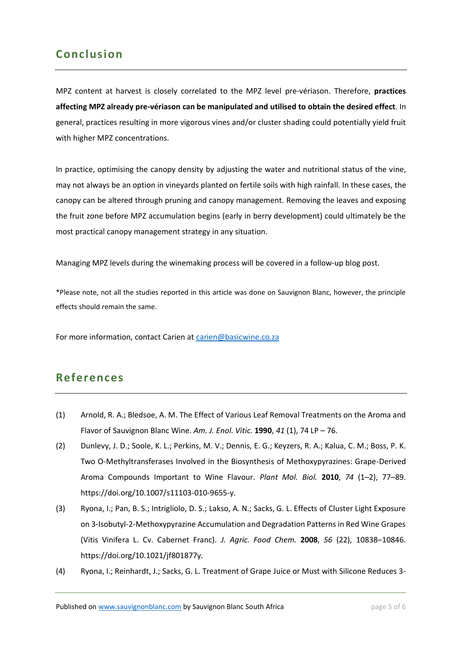## **Conclusion**

MPZ content at harvest is closely correlated to the MPZ level pre-vériason. Therefore, **practices affecting MPZ already pre-vériason can be manipulated and utilised to obtain the desired effect**. In general, practices resulting in more vigorous vines and/or cluster shading could potentially yield fruit with higher MPZ concentrations.

In practice, optimising the canopy density by adjusting the water and nutritional status of the vine, may not always be an option in vineyards planted on fertile soils with high rainfall. In these cases, the canopy can be altered through pruning and canopy management. Removing the leaves and exposing the fruit zone before MPZ accumulation begins (early in berry development) could ultimately be the most practical canopy management strategy in any situation.

Managing MPZ levels during the winemaking process will be covered in a follow-up blog post.

\*Please note, not all the studies reported in this article was done on Sauvignon Blanc, however, the principle effects should remain the same.

For more information, contact Carien a[t carien@basicwine.co.za](mailto:carien@basicwine.co.za)

## **References**

- (1) Arnold, R. A.; Bledsoe, A. M. The Effect of Various Leaf Removal Treatments on the Aroma and Flavor of Sauvignon Blanc Wine. *Am. J. Enol. Vitic.* **1990**, *41* (1), 74 LP – 76.
- (2) Dunlevy, J. D.; Soole, K. L.; Perkins, M. V.; Dennis, E. G.; Keyzers, R. A.; Kalua, C. M.; Boss, P. K. Two O-Methyltransferases Involved in the Biosynthesis of Methoxypyrazines: Grape-Derived Aroma Compounds Important to Wine Flavour. *Plant Mol. Biol.* **2010**, *74* (1–2), 77–89. https://doi.org/10.1007/s11103-010-9655-y.
- (3) Ryona, I.; Pan, B. S.; Intrigliolo, D. S.; Lakso, A. N.; Sacks, G. L. Effects of Cluster Light Exposure on 3-Isobutyl-2-Methoxypyrazine Accumulation and Degradation Patterns in Red Wine Grapes (Vitis Vinifera L. Cv. Cabernet Franc). *J. Agric. Food Chem.* **2008**, *56* (22), 10838–10846. https://doi.org/10.1021/jf801877y.
- (4) Ryona, I.; Reinhardt, J.; Sacks, G. L. Treatment of Grape Juice or Must with Silicone Reduces 3-